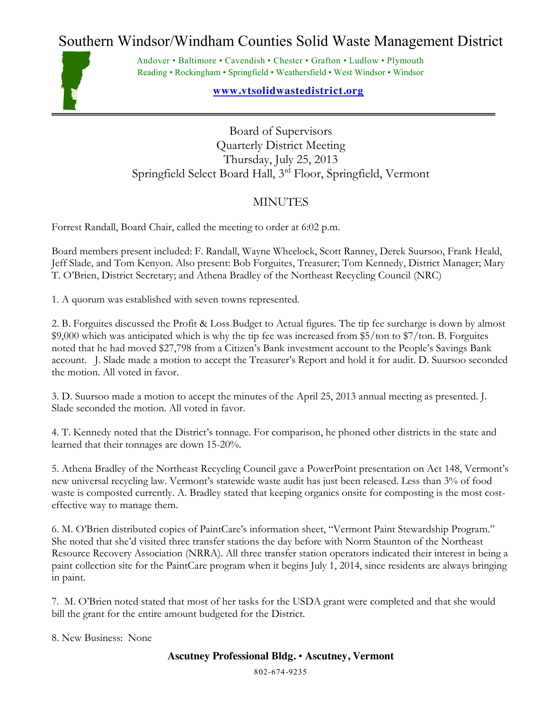## Southern Windsor/Windham Counties Solid Waste Management District



Andover • Baltimore • Cavendish • Chester • Grafton • Ludlow • Plymouth Reading • Rockingham • Springfield • Weathersfield • West Windsor • Windsor

## **www.vtsolidwastedistrict.org**

Board of Supervisors Quarterly District Meeting Thursday, July 25, 2013 Springfield Select Board Hall, 3rd Floor, Springfield, Vermont

## **MINUTES**

Forrest Randall, Board Chair, called the meeting to order at 6:02 p.m.

Board members present included: F. Randall, Wayne Wheelock, Scott Ranney, Derek Suursoo, Frank Heald, Jeff Slade, and Tom Kenyon. Also present: Bob Forguites, Treasurer; Tom Kennedy, District Manager; Mary T. O'Brien, District Secretary; and Athena Bradley of the Northeast Recycling Council (NRC)

1. A quorum was established with seven towns represented.

2. B. Forguites discussed the Profit & Loss Budget to Actual figures. The tip fee surcharge is down by almost \$9,000 which was anticipated which is why the tip fee was increased from \$5/ton to \$7/ton. B. Forguites noted that he had moved \$27,798 from a Citizen's Bank investment account to the People's Savings Bank account. J. Slade made a motion to accept the Treasurer's Report and hold it for audit. D. Suursoo seconded the motion. All voted in favor.

3. D. Suursoo made a motion to accept the minutes of the April 25, 2013 annual meeting as presented. J. Slade seconded the motion. All voted in favor.

4. T. Kennedy noted that the District's tonnage. For comparison, he phoned other districts in the state and learned that their tonnages are down 15-20%.

5. Athena Bradley of the Northeast Recycling Council gave a PowerPoint presentation on Act 148, Vermont's new universal recycling law. Vermont's statewide waste audit has just been released. Less than 3% of food waste is composted currently. A. Bradley stated that keeping organics onsite for composting is the most costeffective way to manage them.

6. M. O'Brien distributed copies of PaintCare's information sheet, "Vermont Paint Stewardship Program." She noted that she'd visited three transfer stations the day before with Norm Staunton of the Northeast Resource Recovery Association (NRRA). All three transfer station operators indicated their interest in being a paint collection site for the PaintCare program when it begins July 1, 2014, since residents are always bringing in paint.

7. M. O'Brien noted stated that most of her tasks for the USDA grant were completed and that she would bill the grant for the entire amount budgeted for the District.

8. New Business: None

## **Ascutney Professional Bldg.** • **Ascutney, Vermont**